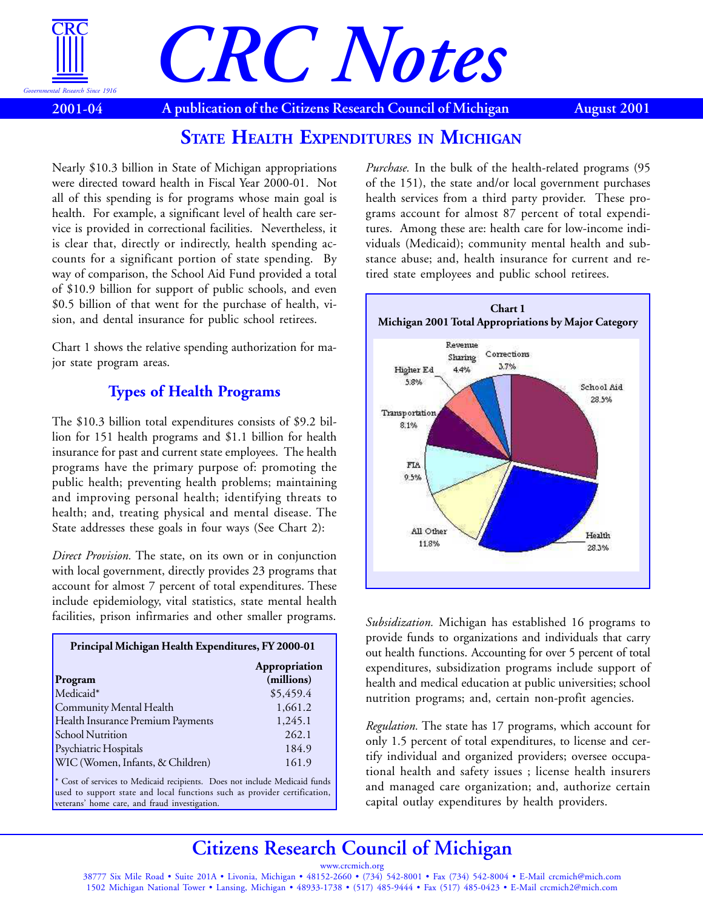

# *CRC Notes*

**2001-04 A publication of the Citizens Research Council of Michigan August 2001**

### **STATE HEALTH EXPENDITURES IN MICHIGAN**

Nearly \$10.3 billion in State of Michigan appropriations were directed toward health in Fiscal Year 2000-01. Not all of this spending is for programs whose main goal is health. For example, a significant level of health care service is provided in correctional facilities. Nevertheless, it is clear that, directly or indirectly, health spending accounts for a significant portion of state spending. By way of comparison, the School Aid Fund provided a total of \$10.9 billion for support of public schools, and even \$0.5 billion of that went for the purchase of health, vision, and dental insurance for public school retirees.

Chart 1 shows the relative spending authorization for major state program areas.

#### **Types of Health Programs**

The \$10.3 billion total expenditures consists of \$9.2 billion for 151 health programs and \$1.1 billion for health insurance for past and current state employees. The health programs have the primary purpose of: promoting the public health; preventing health problems; maintaining and improving personal health; identifying threats to health; and, treating physical and mental disease. The State addresses these goals in four ways (See Chart 2):

*Direct Provision.* The state, on its own or in conjunction with local government, directly provides 23 programs that account for almost 7 percent of total expenditures. These include epidemiology, vital statistics, state mental health facilities, prison infirmaries and other smaller programs.

| Principal Michigan Health Expenditures, FY 2000-01 |                             |
|----------------------------------------------------|-----------------------------|
| Program                                            | Appropriation<br>(millions) |
| Medicaid*                                          | \$5,459.4                   |
| Community Mental Health                            | 1,661.2                     |
| Health Insurance Premium Payments                  | 1,245.1                     |
| <b>School Nutrition</b>                            | 262.1                       |
| Psychiatric Hospitals                              | 184.9                       |
| WIC (Women, Infants, & Children)                   | 161.9                       |

\* Cost of services to Medicaid recipients. Does not include Medicaid funds used to support state and local functions such as provider certification, veterans' home care, and fraud investigation.

*Purchase.* In the bulk of the health-related programs (95 of the 151), the state and/or local government purchases health services from a third party provider. These programs account for almost 87 percent of total expenditures. Among these are: health care for low-income individuals (Medicaid); community mental health and substance abuse; and, health insurance for current and retired state employees and public school retirees.



*Subsidization.* Michigan has established 16 programs to provide funds to organizations and individuals that carry out health functions. Accounting for over 5 percent of total expenditures, subsidization programs include support of health and medical education at public universities; school nutrition programs; and, certain non-profit agencies.

*Regulation.* The state has 17 programs, which account for only 1.5 percent of total expenditures, to license and certify individual and organized providers; oversee occupational health and safety issues ; license health insurers and managed care organization; and, authorize certain capital outlay expenditures by health providers.

## **Citizens Research Council of Michigan**

www.crcmich.org 38777 Six Mile Road • Suite 201A • Livonia, Michigan • 48152-2660 • (734) 542-8001 • Fax (734) 542-8004 • E-Mail crcmich@mich.com 1502 Michigan National Tower • Lansing, Michigan • 48933-1738 • (517) 485-9444 • Fax (517) 485-0423 • E-Mail crcmich2@mich.com